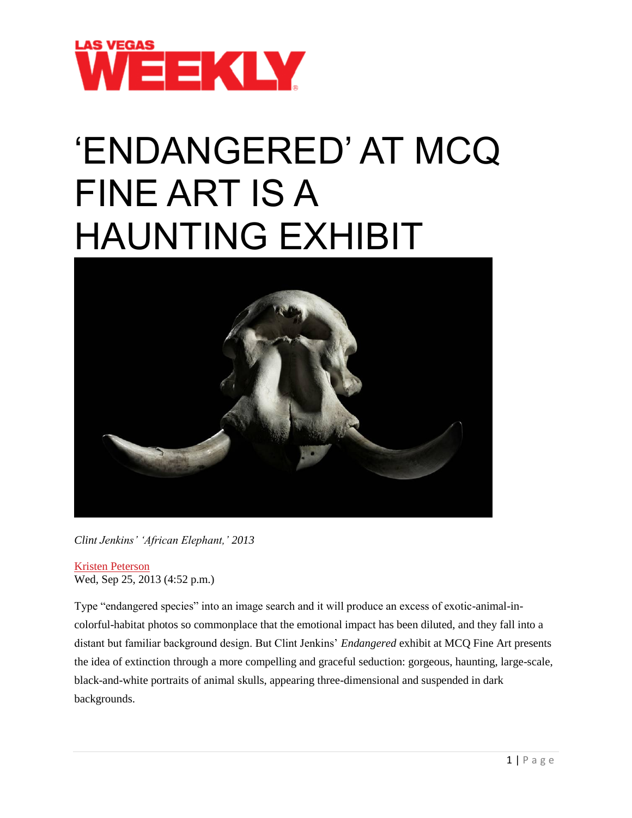

## 'ENDANGERED' AT MCQ FINE ART IS A HAUNTING EXHIBIT



*Clint Jenkins' 'African Elephant,' 2013*

Kristen [Peterson](http://www.lasvegasweekly.com/staff/kristen-peterson/) Wed, Sep 25, 2013 (4:52 p.m.)

Type "endangered species" into an image search and it will produce an excess of exotic-animal-incolorful-habitat photos so commonplace that the emotional impact has been diluted, and they fall into a distant but familiar background design. But Clint Jenkins' *Endangered* exhibit at MCQ Fine Art presents the idea of extinction through a more compelling and graceful seduction: gorgeous, haunting, large-scale, black-and-white portraits of animal skulls, appearing three-dimensional and suspended in dark backgrounds.